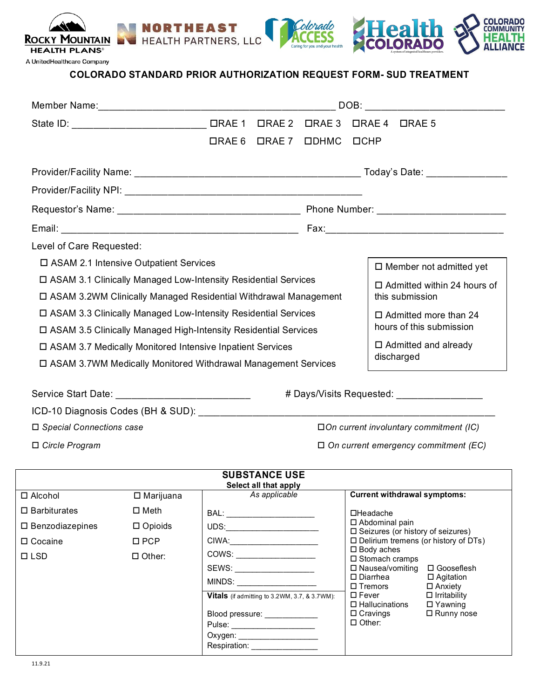

A UnitedHealthcare Company

## **COLORADO STANDARD PRIOR AUTHORIZATION REQUEST FORM- SUD TREATMENT**

|                            | DOB:                                                              |              |                                                                 |  |                                          |                 |                                                |
|----------------------------|-------------------------------------------------------------------|--------------|-----------------------------------------------------------------|--|------------------------------------------|-----------------|------------------------------------------------|
|                            |                                                                   |              |                                                                 |  | <b>ORAE 4 DRAE 5</b>                     |                 |                                                |
|                            |                                                                   | $\Box$ RAE 6 | ORAE 7 ODHMC OCHP                                               |  |                                          |                 |                                                |
|                            |                                                                   |              |                                                                 |  |                                          |                 |                                                |
|                            |                                                                   |              |                                                                 |  |                                          |                 |                                                |
|                            |                                                                   |              |                                                                 |  |                                          |                 |                                                |
|                            |                                                                   |              |                                                                 |  |                                          |                 |                                                |
| Level of Care Requested:   |                                                                   |              |                                                                 |  |                                          |                 |                                                |
|                            | □ ASAM 2.1 Intensive Outpatient Services                          |              |                                                                 |  |                                          |                 | $\Box$ Member not admitted yet                 |
|                            | □ ASAM 3.1 Clinically Managed Low-Intensity Residential Services  |              |                                                                 |  |                                          |                 | $\Box$ Admitted within 24 hours of             |
|                            | □ ASAM 3.2WM Clinically Managed Residential Withdrawal Management |              |                                                                 |  |                                          | this submission |                                                |
|                            | □ ASAM 3.3 Clinically Managed Low-Intensity Residential Services  |              |                                                                 |  |                                          |                 | $\Box$ Admitted more than 24                   |
|                            | □ ASAM 3.5 Clinically Managed High-Intensity Residential Services |              |                                                                 |  |                                          |                 | hours of this submission                       |
|                            | □ ASAM 3.7 Medically Monitored Intensive Inpatient Services       |              |                                                                 |  |                                          |                 | $\Box$ Admitted and already                    |
|                            | □ ASAM 3.7WM Medically Monitored Withdrawal Management Services   |              |                                                                 |  |                                          | discharged      |                                                |
|                            |                                                                   |              |                                                                 |  |                                          |                 |                                                |
|                            |                                                                   |              |                                                                 |  |                                          |                 | # Days/Visits Requested: _________________     |
|                            |                                                                   |              |                                                                 |  |                                          |                 |                                                |
| □ Special Connections case |                                                                   |              |                                                                 |  |                                          |                 | $\Box$ On current involuntary commitment (IC)  |
| □ Circle Program           |                                                                   |              |                                                                 |  |                                          |                 | $\Box$ On current emergency commitment (EC)    |
|                            |                                                                   |              | <b>SUBSTANCE USE</b>                                            |  |                                          |                 |                                                |
| $\square$ Alcohol          | ——————<br>□ Marijuana                                             |              | Select all that apply<br>As applicable                          |  |                                          |                 | <b>Current withdrawal symptoms:</b>            |
| $\square$ Barbiturates     | $\square$ Meth                                                    |              |                                                                 |  | □Headache                                |                 |                                                |
| □ Benzodiazepines          | $\square$ Opioids                                                 |              |                                                                 |  | □ Abdominal pain                         |                 | □ Seizures (or history of seizures)            |
| □ Cocaine                  | $\square$ PCP                                                     |              | CIWA: ________________________                                  |  | $\square$ Body aches                     |                 | $\square$ Delirium tremens (or history of DTs) |
| $\square$ LSD              | $\Box$ Other:                                                     |              | COWS: _________________                                         |  | □ Stomach cramps                         |                 |                                                |
|                            |                                                                   |              | SEWS: __________________<br>MINDS: ____________________         |  | □ Nausea/vomiting<br>$\square$ Diarrhea  |                 | □ Gooseflesh<br>$\Box$ Agitation               |
|                            |                                                                   |              | Vitals (if admitting to 3.2WM, 3.7, & 3.7WM):                   |  | $\square$ Tremors<br>$\square$ Fever     |                 | $\Box$ Anxiety<br>$\Box$ Irritability          |
|                            |                                                                   |              |                                                                 |  | $\Box$ Hallucinations<br>$\Box$ Cravings |                 | $\Box$ Yawning<br>□ Runny nose                 |
|                            |                                                                   |              | Blood pressure: ____________<br>Pulse: ________________________ |  | $\Box$ Other:                            |                 |                                                |
|                            |                                                                   |              |                                                                 |  |                                          |                 |                                                |

Respiration: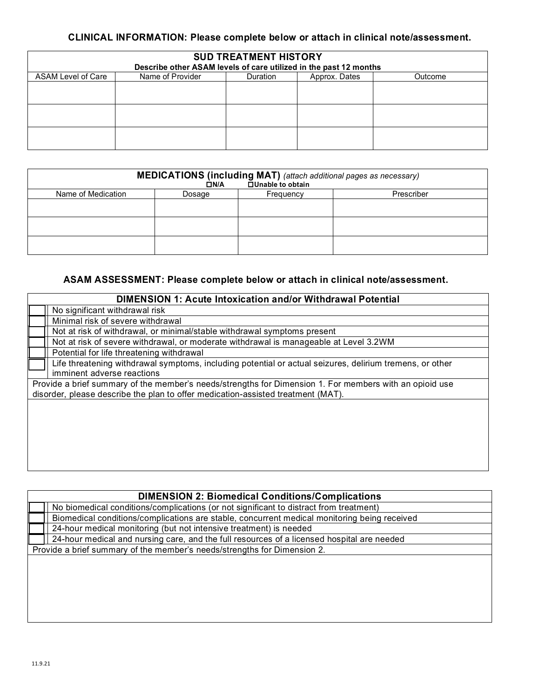### **CLINICAL INFORMATION: Please complete below or attach in clinical note/assessment.**

| <b>SUD TREATMENT HISTORY</b>                                      |                  |                 |               |         |  |  |  |
|-------------------------------------------------------------------|------------------|-----------------|---------------|---------|--|--|--|
| Describe other ASAM levels of care utilized in the past 12 months |                  |                 |               |         |  |  |  |
| ASAM Level of Care                                                | Name of Provider | <b>Duration</b> | Approx. Dates | Outcome |  |  |  |
|                                                                   |                  |                 |               |         |  |  |  |
|                                                                   |                  |                 |               |         |  |  |  |
|                                                                   |                  |                 |               |         |  |  |  |
|                                                                   |                  |                 |               |         |  |  |  |
|                                                                   |                  |                 |               |         |  |  |  |
|                                                                   |                  |                 |               |         |  |  |  |
|                                                                   |                  |                 |               |         |  |  |  |
|                                                                   |                  |                 |               |         |  |  |  |

| <b>MEDICATIONS (including MAT)</b> (attach additional pages as necessary)<br><b>QUinable to obtain</b><br>$\Box$ N/A |        |           |            |  |  |  |
|----------------------------------------------------------------------------------------------------------------------|--------|-----------|------------|--|--|--|
| Name of Medication                                                                                                   | Dosage | Frequency | Prescriber |  |  |  |
|                                                                                                                      |        |           |            |  |  |  |
|                                                                                                                      |        |           |            |  |  |  |
|                                                                                                                      |        |           |            |  |  |  |
|                                                                                                                      |        |           |            |  |  |  |
|                                                                                                                      |        |           |            |  |  |  |
|                                                                                                                      |        |           |            |  |  |  |

### **ASAM ASSESSMENT: Please complete below or attach in clinical note/assessment.**

| <b>DIMENSION 1: Acute Intoxication and/or Withdrawal Potential</b>                                       |  |  |  |  |
|----------------------------------------------------------------------------------------------------------|--|--|--|--|
| No significant withdrawal risk                                                                           |  |  |  |  |
| Minimal risk of severe withdrawal                                                                        |  |  |  |  |
| Not at risk of withdrawal, or minimal/stable withdrawal symptoms present                                 |  |  |  |  |
| Not at risk of severe withdrawal, or moderate withdrawal is manageable at Level 3.2WM                    |  |  |  |  |
| Potential for life threatening withdrawal                                                                |  |  |  |  |
| Life threatening withdrawal symptoms, including potential or actual seizures, delirium tremens, or other |  |  |  |  |
| imminent adverse reactions                                                                               |  |  |  |  |
| Provide a brief summary of the member's needs/strengths for Dimension 1. For members with an opioid use  |  |  |  |  |
| disorder, please describe the plan to offer medication-assisted treatment (MAT).                         |  |  |  |  |
|                                                                                                          |  |  |  |  |
|                                                                                                          |  |  |  |  |
|                                                                                                          |  |  |  |  |
|                                                                                                          |  |  |  |  |
|                                                                                                          |  |  |  |  |
|                                                                                                          |  |  |  |  |

| <b>DIMENSION 2: Biomedical Conditions/Complications</b>                                      |  |  |  |  |
|----------------------------------------------------------------------------------------------|--|--|--|--|
| No biomedical conditions/complications (or not significant to distract from treatment)       |  |  |  |  |
| Biomedical conditions/complications are stable, concurrent medical monitoring being received |  |  |  |  |
| 24-hour medical monitoring (but not intensive treatment) is needed                           |  |  |  |  |
| 24-hour medical and nursing care, and the full resources of a licensed hospital are needed   |  |  |  |  |
| Provide a brief summary of the member's needs/strengths for Dimension 2.                     |  |  |  |  |
|                                                                                              |  |  |  |  |
|                                                                                              |  |  |  |  |
|                                                                                              |  |  |  |  |
|                                                                                              |  |  |  |  |
|                                                                                              |  |  |  |  |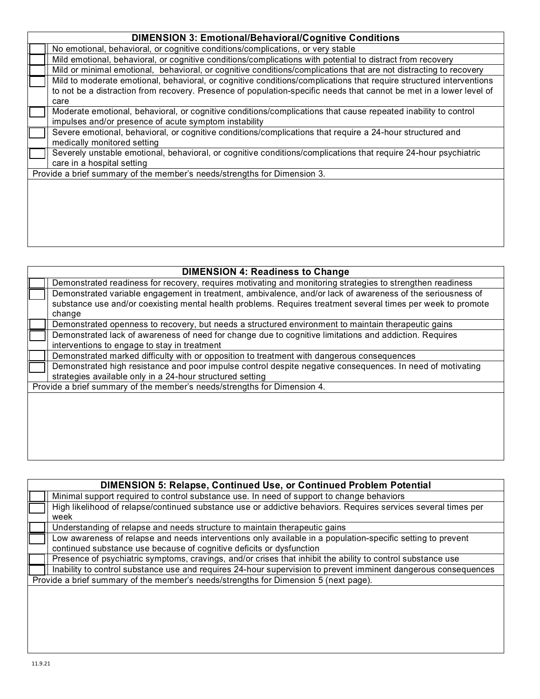| <b>DIMENSION 3: Emotional/Behavioral/Cognitive Conditions</b>                                                                                                                                                                                      |
|----------------------------------------------------------------------------------------------------------------------------------------------------------------------------------------------------------------------------------------------------|
| No emotional, behavioral, or cognitive conditions/complications, or very stable                                                                                                                                                                    |
| Mild emotional, behavioral, or cognitive conditions/complications with potential to distract from recovery                                                                                                                                         |
| Mild or minimal emotional, behavioral, or cognitive conditions/complications that are not distracting to recovery                                                                                                                                  |
| Mild to moderate emotional, behavioral, or cognitive conditions/complications that require structured interventions<br>to not be a distraction from recovery. Presence of population-specific needs that cannot be met in a lower level of<br>care |
| Moderate emotional, behavioral, or cognitive conditions/complications that cause repeated inability to control<br>impulses and/or presence of acute symptom instability                                                                            |
| Severe emotional, behavioral, or cognitive conditions/complications that require a 24-hour structured and<br>medically monitored setting                                                                                                           |
| Severely unstable emotional, behavioral, or cognitive conditions/complications that require 24-hour psychiatric<br>care in a hospital setting                                                                                                      |
| Provide a brief summary of the member's needs/strengths for Dimension 3.                                                                                                                                                                           |
|                                                                                                                                                                                                                                                    |

| <b>DIMENSION 4: Readiness to Change</b> |                                                                                                              |  |  |  |  |
|-----------------------------------------|--------------------------------------------------------------------------------------------------------------|--|--|--|--|
|                                         | Demonstrated readiness for recovery, requires motivating and monitoring strategies to strengthen readiness   |  |  |  |  |
|                                         | Demonstrated variable engagement in treatment, ambivalence, and/or lack of awareness of the seriousness of   |  |  |  |  |
|                                         | substance use and/or coexisting mental health problems. Requires treatment several times per week to promote |  |  |  |  |
|                                         | change                                                                                                       |  |  |  |  |
|                                         | Demonstrated openness to recovery, but needs a structured environment to maintain therapeutic gains          |  |  |  |  |
|                                         | Demonstrated lack of awareness of need for change due to cognitive limitations and addiction. Requires       |  |  |  |  |
|                                         | interventions to engage to stay in treatment                                                                 |  |  |  |  |
|                                         | Demonstrated marked difficulty with or opposition to treatment with dangerous consequences                   |  |  |  |  |
|                                         | Demonstrated high resistance and poor impulse control despite negative consequences. In need of motivating   |  |  |  |  |
|                                         | strategies available only in a 24-hour structured setting                                                    |  |  |  |  |
|                                         | Provide a brief summary of the member's needs/strengths for Dimension 4.                                     |  |  |  |  |
|                                         |                                                                                                              |  |  |  |  |
|                                         |                                                                                                              |  |  |  |  |
|                                         |                                                                                                              |  |  |  |  |
|                                         |                                                                                                              |  |  |  |  |
|                                         |                                                                                                              |  |  |  |  |
|                                         |                                                                                                              |  |  |  |  |

| <b>DIMENSION 5: Relapse, Continued Use, or Continued Problem Potential</b>                                     |  |  |  |  |
|----------------------------------------------------------------------------------------------------------------|--|--|--|--|
| Minimal support required to control substance use. In need of support to change behaviors                      |  |  |  |  |
| High likelihood of relapse/continued substance use or addictive behaviors. Requires services several times per |  |  |  |  |
| week                                                                                                           |  |  |  |  |
| Understanding of relapse and needs structure to maintain therapeutic gains                                     |  |  |  |  |
| Low awareness of relapse and needs interventions only available in a population-specific setting to prevent    |  |  |  |  |
| continued substance use because of cognitive deficits or dysfunction                                           |  |  |  |  |
| Presence of psychiatric symptoms, cravings, and/or crises that inhibit the ability to control substance use    |  |  |  |  |
| Inability to control substance use and requires 24-hour supervision to prevent imminent dangerous consequences |  |  |  |  |
| Provide a brief summary of the member's needs/strengths for Dimension 5 (next page).                           |  |  |  |  |
|                                                                                                                |  |  |  |  |
|                                                                                                                |  |  |  |  |
|                                                                                                                |  |  |  |  |
|                                                                                                                |  |  |  |  |
|                                                                                                                |  |  |  |  |
|                                                                                                                |  |  |  |  |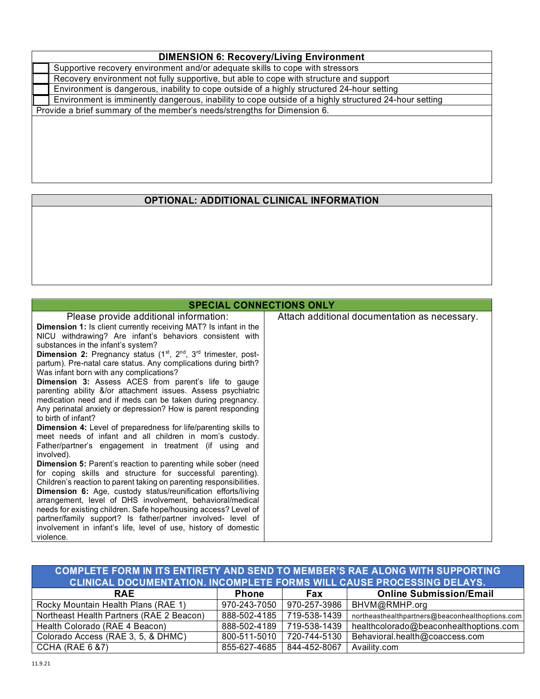# **DIMENSION 6: Recovery/Living Environment**

| Supportive recovery environment and/or adequate skills to cope with stressors                         |  |  |  |  |
|-------------------------------------------------------------------------------------------------------|--|--|--|--|
| Recovery environment not fully supportive, but able to cope with structure and support                |  |  |  |  |
| Environment is dangerous, inability to cope outside of a highly structured 24-hour setting            |  |  |  |  |
| Environment is imminently dangerous, inability to cope outside of a highly structured 24-hour setting |  |  |  |  |
| Provide a brief summary of the member's needs/strengths for Dimension 6.                              |  |  |  |  |
|                                                                                                       |  |  |  |  |
|                                                                                                       |  |  |  |  |
|                                                                                                       |  |  |  |  |

# **OPTIONAL: ADDITIONAL CLINICAL INFORMATION**

| <b>SPECIAL CONNECTIONS ONLY</b>                                                                                                                                                                                                                                                                                                                                                                                                                                                                                                                                                                                                                                                                                                                                                                                                                                                                                                                                                                                                                                                                                                                                                                                                                                                                                                                                                                                                                                               |                                               |
|-------------------------------------------------------------------------------------------------------------------------------------------------------------------------------------------------------------------------------------------------------------------------------------------------------------------------------------------------------------------------------------------------------------------------------------------------------------------------------------------------------------------------------------------------------------------------------------------------------------------------------------------------------------------------------------------------------------------------------------------------------------------------------------------------------------------------------------------------------------------------------------------------------------------------------------------------------------------------------------------------------------------------------------------------------------------------------------------------------------------------------------------------------------------------------------------------------------------------------------------------------------------------------------------------------------------------------------------------------------------------------------------------------------------------------------------------------------------------------|-----------------------------------------------|
| Please provide additional information:<br><b>Dimension 1:</b> Is client currently receiving MAT? Is infant in the<br>NICU withdrawing? Are infant's behaviors consistent with<br>substances in the infant's system?<br><b>Dimension 2:</b> Pregnancy status $(1^{st}, 2^{nd}, 3^{rd}$ trimester, post-<br>partum). Pre-natal care status. Any complications during birth?<br>Was infant born with any complications?<br>Dimension 3: Assess ACES from parent's life to gauge<br>parenting ability &/or attachment issues. Assess psychiatric<br>medication need and if meds can be taken during pregnancy.<br>Any perinatal anxiety or depression? How is parent responding<br>to birth of infant?<br><b>Dimension 4:</b> Level of preparedness for life/parenting skills to<br>meet needs of infant and all children in mom's custody.<br>Father/partner's engagement in treatment (if using and<br>involved).<br><b>Dimension 5:</b> Parent's reaction to parenting while sober (need<br>for coping skills and structure for successful parenting).<br>Children's reaction to parent taking on parenting responsibilities.<br>Dimension 6: Age, custody status/reunification efforts/living<br>arrangement, level of DHS involvement, behavioral/medical<br>needs for existing children. Safe hope/housing access? Level of<br>partner/family support? Is father/partner involved- level of<br>involvement in infant's life, level of use, history of domestic<br>violence. | Attach additional documentation as necessary. |

| COMPLETE FORM IN ITS ENTIRETY AND SEND TO MEMBER'S RAE ALONG WITH SUPPORTING  |              |              |                                                 |  |  |  |  |
|-------------------------------------------------------------------------------|--------------|--------------|-------------------------------------------------|--|--|--|--|
| <b>CLINICAL DOCUMENTATION. INCOMPLETE FORMS WILL CAUSE PROCESSING DELAYS.</b> |              |              |                                                 |  |  |  |  |
| <b>RAE</b>                                                                    | <b>Phone</b> | <b>Fax</b>   | <b>Online Submission/Email</b>                  |  |  |  |  |
| Rocky Mountain Health Plans (RAE 1)                                           | 970-243-7050 | 970-257-3986 | BHVM@RMHP.org                                   |  |  |  |  |
| Northeast Health Partners (RAE 2 Beacon)                                      | 888-502-4185 | 719-538-1439 | northeasthealthpartners@beaconhealthoptions.com |  |  |  |  |
| Health Colorado (RAE 4 Beacon)                                                | 888-502-4189 | 719-538-1439 | healthcolorado@beaconhealthoptions.com          |  |  |  |  |
| Colorado Access (RAE 3, 5, & DHMC)                                            | 800-511-5010 | 720-744-5130 | Behavioral.health@coaccess.com                  |  |  |  |  |
| <b>CCHA (RAE 6 &amp;7)</b>                                                    | 855-627-4685 | 844-452-8067 | Availity.com                                    |  |  |  |  |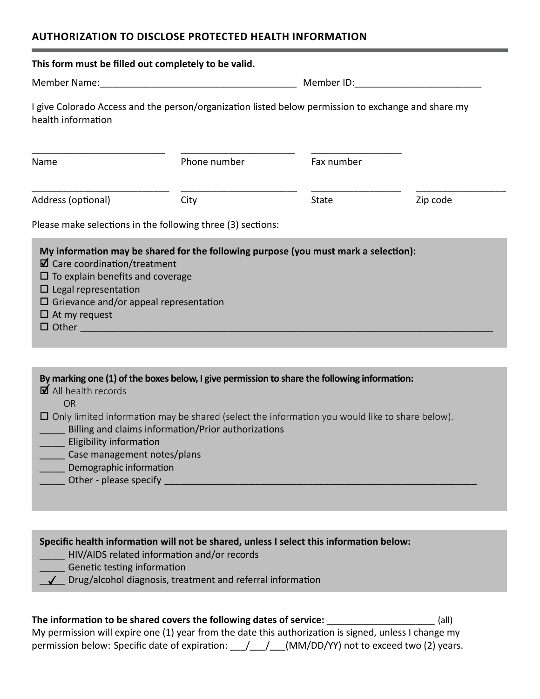#### **AUTHORIZATION TO DISCLOSE PROTECTED HEALTH INFORMATION**

| This form must be filled out completely to be valid.                                                                                                                                                                                                                                                                                                                                                                                                                                                                                         |                                                                                                                                                                                                      |              |          |  |  |  |
|----------------------------------------------------------------------------------------------------------------------------------------------------------------------------------------------------------------------------------------------------------------------------------------------------------------------------------------------------------------------------------------------------------------------------------------------------------------------------------------------------------------------------------------------|------------------------------------------------------------------------------------------------------------------------------------------------------------------------------------------------------|--------------|----------|--|--|--|
|                                                                                                                                                                                                                                                                                                                                                                                                                                                                                                                                              |                                                                                                                                                                                                      |              |          |  |  |  |
| I give Colorado Access and the person/organization listed below permission to exchange and share my<br>health information                                                                                                                                                                                                                                                                                                                                                                                                                    |                                                                                                                                                                                                      |              |          |  |  |  |
| Name                                                                                                                                                                                                                                                                                                                                                                                                                                                                                                                                         | Phone number                                                                                                                                                                                         | Fax number   |          |  |  |  |
| Address (optional)                                                                                                                                                                                                                                                                                                                                                                                                                                                                                                                           | City                                                                                                                                                                                                 | <b>State</b> | Zip code |  |  |  |
|                                                                                                                                                                                                                                                                                                                                                                                                                                                                                                                                              | Please make selections in the following three (3) sections:                                                                                                                                          |              |          |  |  |  |
| My information may be shared for the following purpose (you must mark a selection):<br>$\boxtimes$ Care coordination/treatment<br>$\Box$ To explain benefits and coverage<br>$\Box$ Legal representation<br>$\Box$ Grievance and/or appeal representation<br>$\Box$ At my request<br>By marking one (1) of the boxes below, I give permission to share the following information:<br>$\blacksquare$ All health records<br><b>OR</b><br>$\Box$ Only limited information may be shared (select the information you would like to share below). |                                                                                                                                                                                                      |              |          |  |  |  |
| Billing and claims information/Prior authorizations<br>Eligibility information<br>Case management notes/plans<br>Demographic information<br>Other - please specify                                                                                                                                                                                                                                                                                                                                                                           |                                                                                                                                                                                                      |              |          |  |  |  |
|                                                                                                                                                                                                                                                                                                                                                                                                                                                                                                                                              |                                                                                                                                                                                                      |              |          |  |  |  |
| Genetic testing information                                                                                                                                                                                                                                                                                                                                                                                                                                                                                                                  | Specific health information will not be shared, unless I select this information below:<br>HIV/AIDS related information and/or records<br>Drug/alcohol diagnosis, treatment and referral information |              |          |  |  |  |

**The information to be shared covers the following dates of service:** \_\_\_\_\_\_\_\_\_\_\_\_\_\_\_\_\_ (all) My permission will expire one (1) year from the date this authorization is signed, unless I change my permission below: Specific date of expiration: \_\_\_/\_\_\_/\_\_\_(MM/DD/YY) not to exceed two (2) years.